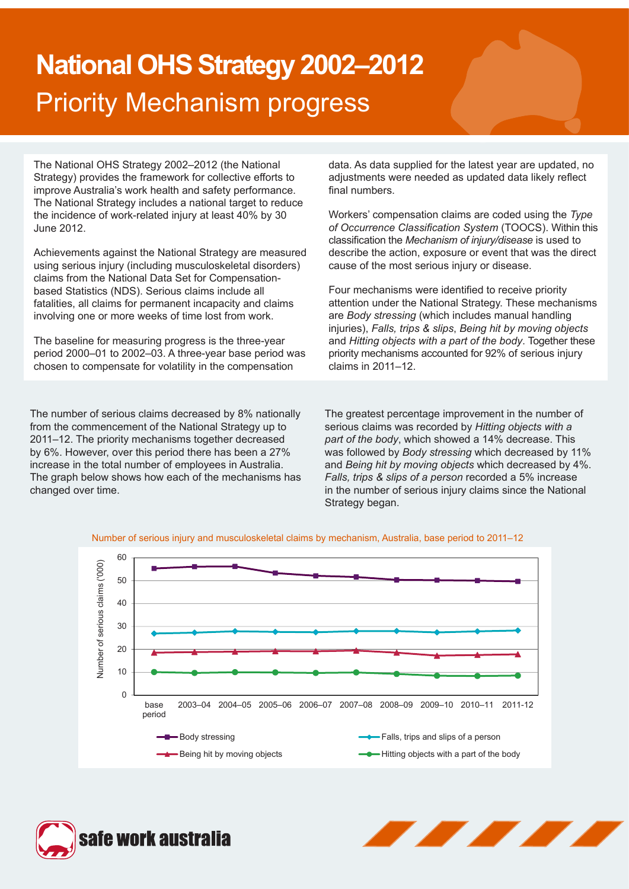# **National OHS Strategy 2002–2012** Priority Mechanism progress

The National OHS Strategy 2002–2012 (the National Strategy) provides the framework for collective efforts to improve Australia's work health and safety performance. The National Strategy includes a national target to reduce the incidence of work-related injury at least 40% by 30 June 2012.

Achievements against the National Strategy are measured using serious injury (including musculoskeletal disorders) claims from the National Data Set for Compensationbased Statistics (NDS). Serious claims include all fatalities, all claims for permanent incapacity and claims involving one or more weeks of time lost from work.

The baseline for measuring progress is the three-year period 2000–01 to 2002–03. A three-year base period was chosen to compensate for volatility in the compensation

The number of serious claims decreased by 8% nationally from the commencement of the National Strategy up to 2011–12. The priority mechanisms together decreased by 6%. However, over this period there has been a 27% increase in the total number of employees in Australia. The graph below shows how each of the mechanisms has changed over time.

data. As data supplied for the latest year are updated, no adjustments were needed as updated data likely reflect final numbers.

Workers' compensation claims are coded using the *Type of Occurrence Classification System* (TOOCS). Within this classification the *Mechanism of injury/disease* is used to describe the action, exposure or event that was the direct cause of the most serious injury or disease.

Four mechanisms were identified to receive priority attention under the National Strategy. These mechanisms are *Body stressing* (which includes manual handling injuries), *Falls, trips & slips*, *Being hit by moving objects* and *Hitting objects with a part of the body*. Together these priority mechanisms accounted for 92% of serious injury claims in 2011–12.

The greatest percentage improvement in the number of serious claims was recorded by *Hitting objects with a part of the body*, which showed a 14% decrease. This was followed by *Body stressing* which decreased by 11% and *Being hit by moving objects* which decreased by 4%. *Falls, trips & slips of a person* recorded a 5% increase in the number of serious injury claims since the National Strategy began.